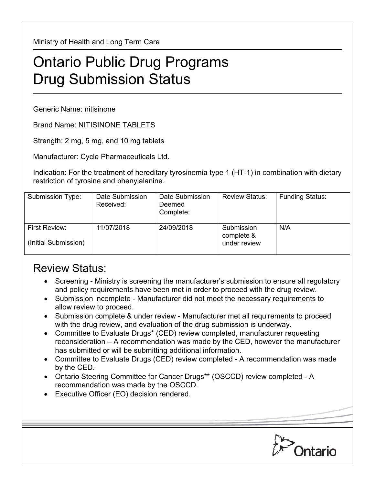Ministry of Health and Long Term Care

## Ontario Public Drug Programs Drug Submission Status

Generic Name: nitisinone

Brand Name: NITISINONE TABLETS

Strength: 2 mg, 5 mg, and 10 mg tablets

Manufacturer: Cycle Pharmaceuticals Ltd.

Indication: For the treatment of hereditary tyrosinemia type 1 (HT-1) in combination with dietary restriction of tyrosine and phenylalanine.

| Submission Type:                      | Date Submission<br>Received: | Date Submission<br>Deemed<br>Complete: | <b>Review Status:</b>                    | <b>Funding Status:</b> |
|---------------------------------------|------------------------------|----------------------------------------|------------------------------------------|------------------------|
| First Review:<br>(Initial Submission) | 11/07/2018                   | 24/09/2018                             | Submission<br>complete &<br>under review | N/A                    |

## Review Status:

- Screening Ministry is screening the manufacturer's submission to ensure all regulatory and policy requirements have been met in order to proceed with the drug review.
- Submission incomplete Manufacturer did not meet the necessary requirements to allow review to proceed.
- Submission complete & under review Manufacturer met all requirements to proceed with the drug review, and evaluation of the drug submission is underway.
- Committee to Evaluate Drugs\* (CED) review completed, manufacturer requesting reconsideration – A recommendation was made by the CED, however the manufacturer has submitted or will be submitting additional information.
- Committee to Evaluate Drugs (CED) review completed A recommendation was made by the CED.
- Ontario Steering Committee for Cancer Drugs\*\* (OSCCD) review completed A recommendation was made by the OSCCD.
- Executive Officer (EO) decision rendered.